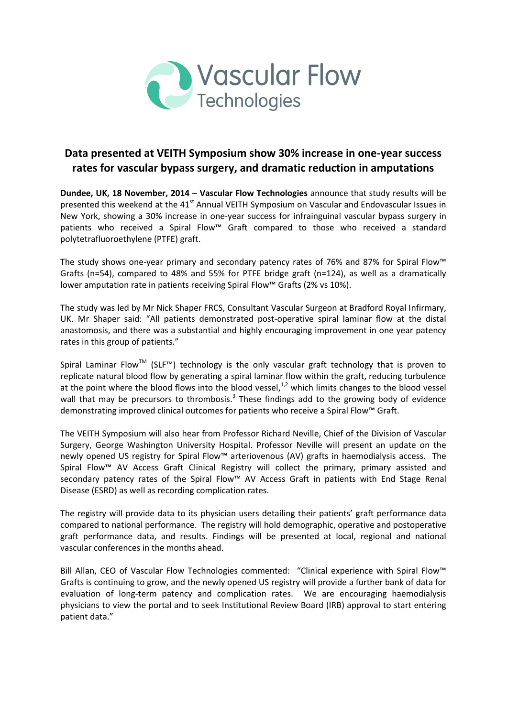

# **Data presented at VEITH Symposium show 30% increase in one-year success rates for vascular bypass surgery, and dramatic reduction in amputations**

**Dundee, UK, 18 November, 2014** – **Vascular Flow Technologies** announce that study results will be presented this weekend at the 41<sup>st</sup> Annual VEITH Symposium on Vascular and Endovascular Issues in New York, showing a 30% increase in one-year success for infrainguinal vascular bypass surgery in patients who received a Spiral Flow™ Graft compared to those who received a standard polytetrafluoroethylene (PTFE) graft.

The study shows one-year primary and secondary patency rates of 76% and 87% for Spiral Flow™ Grafts (n=54), compared to 48% and 55% for PTFE bridge graft (n=124), as well as a dramatically lower amputation rate in patients receiving Spiral Flow™ Grafts (2% vs 10%).

The study was led by Mr Nick Shaper FRCS, Consultant Vascular Surgeon at Bradford Royal Infirmary, UK. Mr Shaper said: "All patients demonstrated post-operative spiral laminar flow at the distal anastomosis, and there was a substantial and highly encouraging improvement in one year patency rates in this group of patients."

Spiral Laminar Flow<sup>™</sup> (SLF<sup>™</sup>) technology is the only vascular graft technology that is proven to replicate natural blood flow by generating a spiral laminar flow within the graft, reducing turbulence at the point where the blood flows into the blood vessel, $^{1,2}$  which limits changes to the blood vessel wall that may be precursors to thrombosis.<sup>3</sup> These findings add to the growing body of evidence demonstrating improved clinical outcomes for patients who receive a Spiral Flow™ Graft.

The VEITH Symposium will also hear from Professor Richard Neville, Chief of the Division of Vascular Surgery, George Washington University Hospital. Professor Neville will present an update on the newly opened US registry for Spiral Flow™ arteriovenous (AV) grafts in haemodialysis access. The Spiral Flow™ AV Access Graft Clinical Registry will collect the primary, primary assisted and secondary patency rates of the Spiral Flow™ AV Access Graft in patients with End Stage Renal Disease (ESRD) as well as recording complication rates.

The registry will provide data to its physician users detailing their patients' graft performance data compared to national performance. The registry will hold demographic, operative and postoperative graft performance data, and results. Findings will be presented at local, regional and national vascular conferences in the months ahead.

Bill Allan, CEO of Vascular Flow Technologies commented: "Clinical experience with Spiral Flow™ Grafts is continuing to grow, and the newly opened US registry will provide a further bank of data for evaluation of long-term patency and complication rates. We are encouraging haemodialysis physicians to view the portal and to seek Institutional Review Board (IRB) approval to start entering patient data."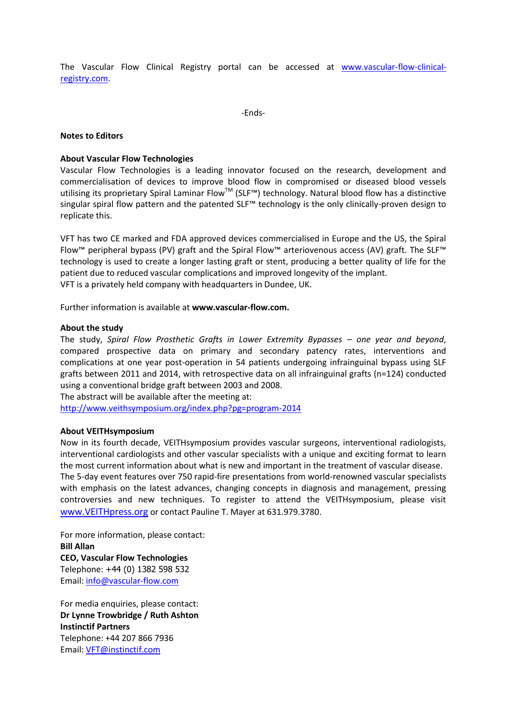The Vascular Flow Clinical Registry portal can be accessed at [www.vascular-flow-clinical](http://www.vascular-flow-clinical-registry.com/)[registry.com.](http://www.vascular-flow-clinical-registry.com/)

-Ends-

### **Notes to Editors**

## **About Vascular Flow Technologies**

Vascular Flow Technologies is a leading innovator focused on the research, development and commercialisation of devices to improve blood flow in compromised or diseased blood vessels utilising its proprietary Spiral Laminar Flow™ (SLF™) technology. Natural blood flow has a distinctive singular spiral flow pattern and the patented SLF™ technology is the only clinically-proven design to replicate this.

VFT has two CE marked and FDA approved devices commercialised in Europe and the US, the Spiral Flow™ peripheral bypass (PV) graft and the Spiral Flow™ arteriovenous access (AV) graft. The SLF™ technology is used to create a longer lasting graft or stent, producing a better quality of life for the patient due to reduced vascular complications and improved longevity of the implant. VFT is a privately held company with headquarters in Dundee, UK.

Further information is available at **[www.vascular-flow.com.](http://www.vascular-flow.com/)** 

#### **About the study**

The study, *Spiral Flow Prosthetic Grafts in Lower Extremity Bypasses – one year and beyond*, compared prospective data on primary and secondary patency rates, interventions and complications at one year post-operation in 54 patients undergoing infrainguinal bypass using SLF grafts between 2011 and 2014, with retrospective data on all infrainguinal grafts (n=124) conducted using a conventional bridge graft between 2003 and 2008.

The abstract will be available after the meeting at:

<http://www.veithsymposium.org/index.php?pg=program-2014>

#### **About VEITHsymposium**

Now in its fourth decade, VEITHsymposium provides vascular surgeons, interventional radiologists, interventional cardiologists and other vascular specialists with a unique and exciting format to learn the most current information about what is new and important in the treatment of vascular disease. The 5-day event features over 750 rapid-fire presentations from world-renowned vascular specialists with emphasis on the latest advances, changing concepts in diagnosis and management, pressing controversies and new techniques. To register to attend the VEITHsymposium, please visit www.VEITHpress.org or contact Pauline T. Mayer at 631.979.3780.

For more information, please contact: **Bill Allan CEO, Vascular Flow Technologies**  Telephone: +44 (0) 1382 598 532 Email: [info@vascular-flow.com](mailto:info@vascular-flow.com)

For media enquiries, please contact: **Dr Lynne Trowbridge / Ruth Ashton Instinctif Partners**  Telephone: +44 207 866 7936 Email: [VFT@instinctif.com](mailto:VFT@instinctif.com)